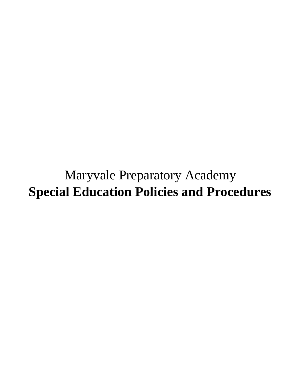Maryvale Preparatory Academy **Special Education Policies and Procedures**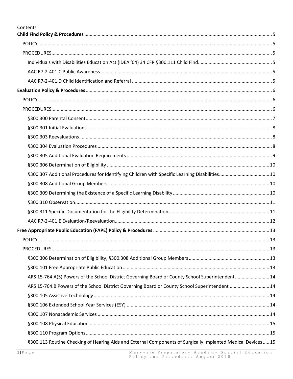| Contents                                                                                         |  |
|--------------------------------------------------------------------------------------------------|--|
|                                                                                                  |  |
|                                                                                                  |  |
|                                                                                                  |  |
|                                                                                                  |  |
|                                                                                                  |  |
|                                                                                                  |  |
|                                                                                                  |  |
|                                                                                                  |  |
|                                                                                                  |  |
|                                                                                                  |  |
|                                                                                                  |  |
|                                                                                                  |  |
|                                                                                                  |  |
|                                                                                                  |  |
|                                                                                                  |  |
|                                                                                                  |  |
|                                                                                                  |  |
|                                                                                                  |  |
|                                                                                                  |  |
|                                                                                                  |  |
|                                                                                                  |  |
|                                                                                                  |  |
|                                                                                                  |  |
|                                                                                                  |  |
|                                                                                                  |  |
| ARS 15-764.A(5) Powers of the School District Governing Board or County School Superintendent 14 |  |
| ARS 15-764.B Powers of the School District Governing Board or County School Superintendent  14   |  |
|                                                                                                  |  |
|                                                                                                  |  |
|                                                                                                  |  |
|                                                                                                  |  |
|                                                                                                  |  |

§300.113 Routine Checking of Hearing Aids and External Components of Surgically Implanted Medical Devices.....15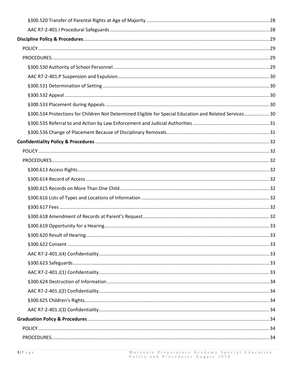| §300.534 Protections for Children Not Determined Eligible for Special Education and Related Services 30 |  |
|---------------------------------------------------------------------------------------------------------|--|
|                                                                                                         |  |
|                                                                                                         |  |
|                                                                                                         |  |
|                                                                                                         |  |
|                                                                                                         |  |
|                                                                                                         |  |
|                                                                                                         |  |
|                                                                                                         |  |
|                                                                                                         |  |
|                                                                                                         |  |
|                                                                                                         |  |
|                                                                                                         |  |
|                                                                                                         |  |
|                                                                                                         |  |
|                                                                                                         |  |
|                                                                                                         |  |
|                                                                                                         |  |
|                                                                                                         |  |
|                                                                                                         |  |
|                                                                                                         |  |
|                                                                                                         |  |
|                                                                                                         |  |
|                                                                                                         |  |
|                                                                                                         |  |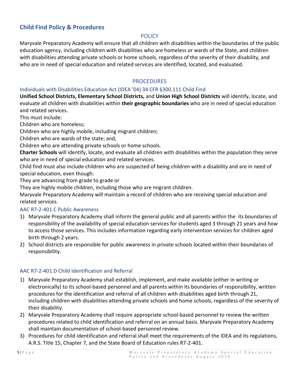# <span id="page-5-1"></span><span id="page-5-0"></span>**Child Find Policy & Procedures**

### POLICY

Maryvale Preparatory Academy will ensure that all children with disabilities within the boundaries of the public education agency, including children with disabilities who are homeless or wards of the State, and children with disabilities attending private schools or home schools, regardless of the severity of their disability, and who are in need of special education and related services are identified, located, and evaluated.

### **PROCEDURES**

#### <span id="page-5-3"></span><span id="page-5-2"></span>Individuals with Disabilities Education Act (IDEA '04) 34 CFR §300.111 Child Find

**Unified School Districts, Elementary School Districts,** and **Union High School Districts** will identify, locate, and evaluate all children with disabilities within **their geographic boundaries** who are in need of special education and related services.

This must include:

Children who are homeless;

Children who are highly mobile, including migrant children;

Children who are wards of the state; and,

Children who are attending private schools or home schools.

**Charter Schools** will identify, locate, and evaluate all children with disabilities within the population they serve who are in need of special education and related services.

Child find must also include children who are suspected of being children with a disability and are in need of special education, even though:

They are advancing from grade to grade or

They are highly mobile children, including those who are migrant children.

Maryvale Preparatory Academy will maintain a record of children who are receiving special education and related services.

#### <span id="page-5-4"></span>AAC R7-2-401.C Public Awareness

- 1) Maryvale Preparatory Academy shall inform the general public and all parents within the its boundaries of responsibility of the availability of special education services for students aged 3 through 21 years and how to access those services. This includes information regarding early intervention services for children aged birth through 2 years.
- 2) School districts are responsible for public awareness in private schools located within their boundaries of responsibility.

### <span id="page-5-5"></span>AAC R7-2-401.D Child Identification and Referral

- 1) Maryvale Preparatory Academy shall establish, implement, and make available (either in writing or electronically) to its school-based personnel and all parents within its boundaries of responsibility, written procedures for the identification and referral of all children with disabilities aged birth through 21, including children with disabilities attending private schools and home schools, regardless of the severity of their disability.
- 2) Maryvale Preparatory Academy shall require appropriate school-based personnel to review the written procedures related to child identification and referral on an annual basis. Maryvale Preparatory Academy shall maintain documentation of school-based personnel review.
- 3) Procedures for child identification and referral shall meet the requirements of the IDEA and its regulations, A.R.S. Title 15, Chapter 7, and the State Board of Education rules R7-2-401.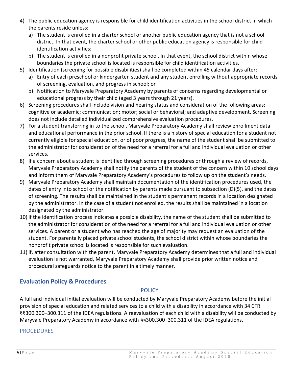- 4) The public education agency is responsible for child identification activities in the school district in which the parents reside unless:
	- a) The student is enrolled in a charter school or another public education agency that is not a school district. In that event, the charter school or other public education agency is responsible for child identification activities;
	- b) The student is enrolled in a nonprofit private school. In that event, the school district within whose boundaries the private school is located is responsible for child identification activities.
- 5) Identification (screening for possible disabilities) shall be completed within 45 calendar days after:
	- a) Entry of each preschool or kindergarten student and any student enrolling without appropriate records of screening, evaluation, and progress in school; or
	- b) Notification to Maryvale Preparatory Academy by parents of concerns regarding developmental or educational progress by their child (aged 3 years through 21 years).
- 6) Screening procedures shall include vision and hearing status and consideration of the following areas: cognitive or academic; communication; motor; social or behavioral; and adaptive development. Screening does not include detailed individualized comprehensive evaluation procedures.
- 7) For a student transferring in to the school, Maryvale Preparatory Academy shall review enrollment data and educational performance in the prior school. If there is a history of special education for a student not currently eligible for special education, or of poor progress, the name of the student shall be submitted to the administrator for consideration of the need for a referral for a full and individual evaluation or other services.
- 8) If a concern about a student is identified through screening procedures or through a review of records, Maryvale Preparatory Academy shall notify the parents of the student of the concern within 10 school days and inform them of Maryvale Preparatory Academy's procedures to follow up on the student's needs.
- 9) Maryvale Preparatory Academy shall maintain documentation of the identification procedures used, the dates of entry into school or the notification by parents made pursuant to subsection (D)(5), and the dates of screening. The results shall be maintained in the student's permanent records in a location designated by the administrator. In the case of a student not enrolled, the results shall be maintained in a location designated by the administrator.
- 10) If the identification process indicates a possible disability, the name of the student shall be submitted to the administrator for consideration of the need for a referral for a full and individual evaluation or other services. A parent or a student who has reached the age of majority may request an evaluation of the student. For parentally placed private school students, the school district within whose boundaries the nonprofit private school is located is responsible for such evaluation.
- 11) If, after consultation with the parent, Maryvale Preparatory Academy determines that a full and individual evaluation is not warranted, Maryvale Preparatory Academy shall provide prior written notice and procedural safeguards notice to the parent in a timely manner.

# <span id="page-6-1"></span><span id="page-6-0"></span>**Evaluation Policy & Procedures**

### POLICY

A full and individual initial evaluation will be conducted by Maryvale Preparatory Academy before the initial provision of special education and related services to a child with a disability in accordance with 34 CFR §§300.300–300.311 of the IDEA regulations. A reevaluation of each child with a disability will be conducted by Maryvale Preparatory Academy in accordance with §§300.300–300.311 of the IDEA regulations.

# <span id="page-6-2"></span>PROCEDURES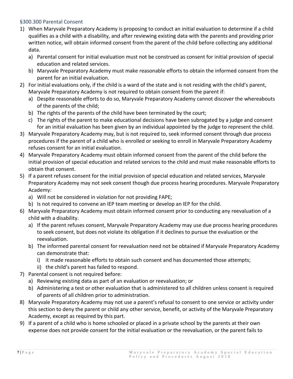### <span id="page-7-0"></span>§300.300 Parental Consent

- 1) When Maryvale Preparatory Academy is proposing to conduct an initial evaluation to determine if a child qualifies as a child with a disability, and after reviewing existing data with the parents and providing prior written notice, will obtain informed consent from the parent of the child before collecting any additional data.
	- a) Parental consent for initial evaluation must not be construed as consent for initial provision of special education and related services.
	- b) Maryvale Preparatory Academy must make reasonable efforts to obtain the informed consent from the parent for an initial evaluation.
- 2) For initial evaluations only, if the child is a ward of the state and is not residing with the child's parent, Maryvale Preparatory Academy is not required to obtain consent from the parent if:
	- a) Despite reasonable efforts to do so, Maryvale Preparatory Academy cannot discover the whereabouts of the parents of the child;
	- b) The rights of the parents of the child have been terminated by the court;
	- c) The rights of the parent to make educational decisions have been subrogated by a judge and consent for an initial evaluation has been given by an individual appointed by the judge to represent the child.
- 3) Maryvale Preparatory Academy may, but is not required to, seek informed consent through due process procedures if the parent of a child who is enrolled or seeking to enroll in Maryvale Preparatory Academy refuses consent for an initial evaluation.
- 4) Maryvale Preparatory Academy must obtain informed consent from the parent of the child before the initial provision of special education and related services to the child and must make reasonable efforts to obtain that consent.
- 5) If a parent refuses consent for the initial provision of special education and related services, Maryvale Preparatory Academy may not seek consent though due process hearing procedures. Maryvale Preparatory Academy:
	- a) Will not be considered in violation for not providing FAPE;
	- b) Is not required to convene an IEP team meeting or develop an IEP for the child.
- 6) Maryvale Preparatory Academy must obtain informed consent prior to conducting any reevaluation of a child with a disability.
	- a) If the parent refuses consent, Maryvale Preparatory Academy may use due process hearing procedures to seek consent, but does not violate its obligation if it declines to pursue the evaluation or the reevaluation.
	- b) The informed parental consent for reevaluation need not be obtained if Maryvale Preparatory Academy can demonstrate that:
		- i) it made reasonable efforts to obtain such consent and has documented those attempts;
		- ii) the child's parent has failed to respond.
- 7) Parental consent is not required before:
	- a) Reviewing existing data as part of an evaluation or reevaluation; or
	- b) Administering a test or other evaluation that is administered to all children unless consent is required of parents of all children prior to administration.
- 8) Maryvale Preparatory Academy may not use a parent's refusal to consent to one service or activity under this section to deny the parent or child any other service, benefit, or activity of the Maryvale Preparatory Academy, except as required by this part.
- 9) If a parent of a child who is home schooled or placed in a private school by the parents at their own expense does not provide consent for the initial evaluation or the reevaluation, or the parent fails to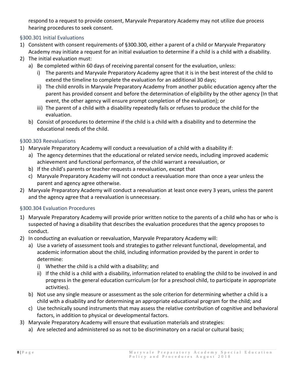respond to a request to provide consent, Maryvale Preparatory Academy may not utilize due process hearing procedures to seek consent.

# <span id="page-8-0"></span>§300.301 Initial Evaluations

- 1) Consistent with consent requirements of §300.300, either a parent of a child or Maryvale Preparatory Academy may initiate a request for an initial evaluation to determine if a child is a child with a disability.
- 2) The initial evaluation must:
	- a) Be completed within 60 days of receiving parental consent for the evaluation, unless:
		- i) The parents and Maryvale Preparatory Academy agree that it is in the best interest of the child to extend the timeline to complete the evaluation for an additional 30 days;
		- ii) The child enrolls in Maryvale Preparatory Academy from another public education agency after the parent has provided consent and before the determination of eligibility by the other agency (In that event, the other agency will ensure prompt completion of the evaluation); or
		- iii) The parent of a child with a disability repeatedly fails or refuses to produce the child for the evaluation.
	- b) Consist of procedures to determine if the child is a child with a disability and to determine the educational needs of the child.

### <span id="page-8-1"></span>§300.303 Reevaluations

- 1) Maryvale Preparatory Academy will conduct a reevaluation of a child with a disability if:
	- a) The agency determines that the educational or related service needs, including improved academic achievement and functional performance, of the child warrant a reevaluation, or
	- b) If the child's parents or teacher requests a reevaluation, except that
	- c) Maryvale Preparatory Academy will not conduct a reevaluation more than once a year unless the parent and agency agree otherwise.
- 2) Maryvale Preparatory Academy will conduct a reevaluation at least once every 3 years, unless the parent and the agency agree that a reevaluation is unnecessary.

### <span id="page-8-2"></span>§300.304 Evaluation Procedures

- 1) Maryvale Preparatory Academy will provide prior written notice to the parents of a child who has or who is suspected of having a disability that describes the evaluation procedures that the agency proposes to conduct.
- 2) In conducting an evaluation or reevaluation, Maryvale Preparatory Academy will:
	- a) Use a variety of assessment tools and strategies to gather relevant functional, developmental, and academic information about the child, including information provided by the parent in order to determine:
		- i) Whether the child is a child with a disability; and
		- ii) If the child is a child with a disability, information related to enabling the child to be involved in and progress in the general education curriculum (or for a preschool child, to participate in appropriate activities).
	- b) Not use any single measure or assessment as the sole criterion for determining whether a child is a child with a disability and for determining an appropriate educational program for the child; and
	- c) Use technically sound instruments that may assess the relative contribution of cognitive and behavioral factors, in addition to physical or developmental factors.
- 3) Maryvale Preparatory Academy will ensure that evaluation materials and strategies:
	- a) Are selected and administered so as not to be discriminatory on a racial or cultural basis;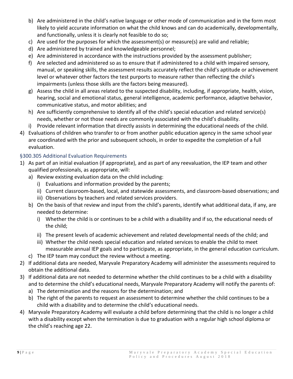- b) Are administered in the child's native language or other mode of communication and in the form most likely to yield accurate information on what the child knows and can do academically, developmentally, and functionally, unless it is clearly not feasible to do so;
- c) Are used for the purposes for which the assessment(s) or measure(s) are valid and reliable;
- d) Are administered by trained and knowledgeable personnel;
- e) Are administered in accordance with the instructions provided by the assessment publisher;
- f) Are selected and administered so as to ensure that if administered to a child with impaired sensory, manual, or speaking skills, the assessment results accurately reflect the child's aptitude or achievement level or whatever other factors the test purports to measure rather than reflecting the child's impairments (unless those skills are the factors being measured).
- g) Assess the child in all areas related to the suspected disability, including, if appropriate, health, vision, hearing, social and emotional status, general intelligence, academic performance, adaptive behavior, communicative status, and motor abilities; and
- h) Are sufficiently comprehensive to identify all of the child's special education and related service(s) needs, whether or not those needs are commonly associated with the child's disability.
- i) Provide relevant information that directly assists in determining the educational needs of the child.
- 4) Evaluations of children who transfer to or from another public education agency in the same school year are coordinated with the prior and subsequent schools, in order to expedite the completion of a full evaluation.

### <span id="page-9-0"></span>§300.305 Additional Evaluation Requirements

- 1) As part of an initial evaluation (if appropriate), and as part of any reevaluation, the IEP team and other qualified professionals, as appropriate, will:
	- a) Review existing evaluation data on the child including:
		- i) Evaluations and information provided by the parents;
		- ii) Current classroom-based, local, and statewide assessments, and classroom-based observations; and
		- iii) Observations by teachers and related services providers.
	- b) On the basis of that review and input from the child's parents, identify what additional data, if any, are needed to determine:
		- i) Whether the child is or continues to be a child with a disability and if so, the educational needs of the child;
		- ii) The present levels of academic achievement and related developmental needs of the child; and
		- iii) Whether the child needs special education and related services to enable the child to meet measurable annual IEP goals and to participate, as appropriate, in the general education curriculum.
	- c) The IEP team may conduct the review without a meeting.
- 2) If additional data are needed, Maryvale Preparatory Academy will administer the assessments required to obtain the additional data.
- 3) If additional data are not needed to determine whether the child continues to be a child with a disability and to determine the child's educational needs, Maryvale Preparatory Academy will notify the parents of:
	- a) The determination and the reasons for the determination; and
	- b) The right of the parents to request an assessment to determine whether the child continues to be a child with a disability and to determine the child's educational needs.
- 4) Maryvale Preparatory Academy will evaluate a child before determining that the child is no longer a child with a disability except when the termination is due to graduation with a regular high school diploma or the child's reaching age 22.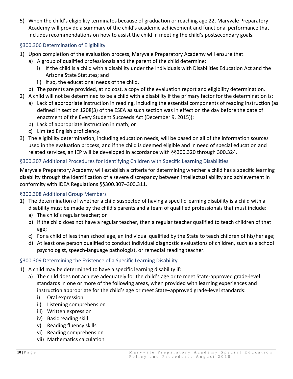5) When the child's eligibility terminates because of graduation or reaching age 22, Maryvale Preparatory Academy will provide a summary of the child's academic achievement and functional performance that includes recommendations on how to assist the child in meeting the child's postsecondary goals.

## <span id="page-10-0"></span>§300.306 Determination of Eligibility

- 1) Upon completion of the evaluation process, Maryvale Preparatory Academy will ensure that:
	- a) A group of qualified professionals and the parent of the child determine:
		- i) If the child is a child with a disability under the Individuals with Disabilities Education Act and the Arizona State Statutes; and
		- ii) If so, the educational needs of the child.
	- b) The parents are provided, at no cost, a copy of the evaluation report and eligibility determination.
- 2) A child will not be determined to be a child with a disability if the primary factor for the determination is:
	- a) Lack of appropriate instruction in reading, including the essential components of reading instruction (as defined in section 1208(3) of the ESEA as such section was in effect on the day before the date of enactment of the Every Student Succeeds Act (December 9, 2015));
	- b) Lack of appropriate instruction in math; or
	- c) Limited English proficiency.
- 3) The eligibility determination, including education needs, will be based on all of the information sources used in the evaluation process, and if the child is deemed eligible and in need of special education and related services, an IEP will be developed in accordance with §§300.320 through 300.324.

### <span id="page-10-1"></span>§300.307 Additional Procedures for Identifying Children with Specific Learning Disabilities

Maryvale Preparatory Academy will establish a criteria for determining whether a child has a specific learning disability through the identification of a severe discrepancy between intellectual ability and achievement in conformity with IDEA Regulations §§300.307–300.311.

### <span id="page-10-2"></span>§300.308 Additional Group Members

- 1) The determination of whether a child suspected of having a specific learning disability is a child with a disability must be made by the child's parents and a team of qualified professionals that must include:
	- a) The child's regular teacher; or
	- b) If the child does not have a regular teacher, then a regular teacher qualified to teach children of that age;
	- c) For a child of less than school age, an individual qualified by the State to teach children of his/her age;
	- d) At least one person qualified to conduct individual diagnostic evaluations of children, such as a school psychologist, speech-language pathologist, or remedial reading teacher.

### <span id="page-10-3"></span>§300.309 Determining the Existence of a Specific Learning Disability

- 1) A child may be determined to have a specific learning disability if:
	- a) The child does not achieve adequately for the child's age or to meet State-approved grade-level standards in one or more of the following areas, when provided with learning experiences and instruction appropriate for the child's age or meet State–approved grade-level standards:
		- i) Oral expression
		- ii) Listening comprehension
		- iii) Written expression
		- iv) Basic reading skill
		- v) Reading fluency skills
		- vi) Reading comprehension
		- vii) Mathematics calculation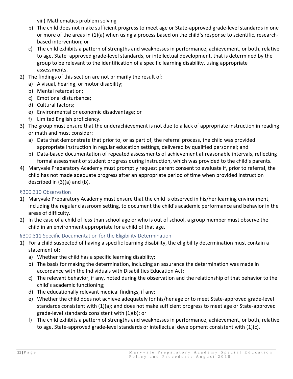viii) Mathematics problem solving

- b) The child does not make sufficient progress to meet age or State-approved grade-level standards in one or more of the areas in (1)(a) when using a process based on the child's response to scientific, researchbased intervention; or
- c) The child exhibits a pattern of strengths and weaknesses in performance, achievement, or both, relative to age, State–approved grade-level standards, or intellectual development, that is determined by the group to be relevant to the identification of a specific learning disability, using appropriate assessments.
- 2) The findings of this section are not primarily the result of:
	- a) A visual, hearing, or motor disability;
	- b) Mental retardation;
	- c) Emotional disturbance;
	- d) Cultural factors;
	- e) Environmental or economic disadvantage; or
	- f) Limited English proficiency.
- 3) The group must ensure that the underachievement is not due to a lack of appropriate instruction in reading or math and must consider:
	- a) Data that demonstrate that prior to, or as part of, the referral process, the child was provided appropriate instruction in regular education settings, delivered by qualified personnel; and
	- b) Data-based documentation of repeated assessments of achievement at reasonable intervals, reflecting formal assessment of student progress during instruction, which was provided to the child's parents.
- 4) Maryvale Preparatory Academy must promptly request parent consent to evaluate if, prior to referral, the child has not made adequate progress after an appropriate period of time when provided instruction described in (3)(a) and (b).

## <span id="page-11-0"></span>§300.310 Observation

- 1) Maryvale Preparatory Academy must ensure that the child is observed in his/her learning environment, including the regular classroom setting, to document the child's academic performance and behavior in the areas of difficulty.
- 2) In the case of a child of less than school age or who is out of school, a group member must observe the child in an environment appropriate for a child of that age.

# <span id="page-11-1"></span>§300.311 Specific Documentation for the Eligibility Determination

- 1) For a child suspected of having a specific learning disability, the eligibility determination must contain a statement of:
	- a) Whether the child has a specific learning disability;
	- b) The basis for making the determination, including an assurance the determination was made in accordance with the Individuals with Disabilities Education Act;
	- c) The relevant behavior, if any, noted during the observation and the relationship of that behavior to the child's academic functioning;
	- d) The educationally relevant medical findings, if any;
	- e) Whether the child does not achieve adequately for his/her age or to meet State-approved grade-level standards consistent with (1)(a); and does not make sufficient progress to meet age or State-approved grade-level standards consistent with (1)(b); or
	- f) The child exhibits a pattern of strengths and weaknesses in performance, achievement, or both, relative to age, State-approved grade-level standards or intellectual development consistent with (1)(c).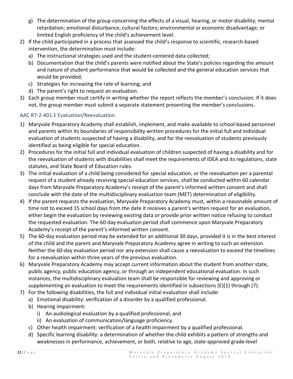- g) The determination of the group concerning the effects of a visual, hearing, or motor disability; mental retardation; emotional disturbance; cultural factors; environmental or economic disadvantage; or limited English proficiency of the child's achievement level.
- 2) If the child participated in a process that assessed the child's response to scientific, research-based intervention, the determination must include:
	- a) The instructional strategies used and the student-centered data collected;
	- b) Documentation that the child's parents were notified about the State's policies regarding the amount and nature of student performance that would be collected and the general education services that would be provided;
	- c) Strategies for increasing the rate of learning; and
	- d) The parent's right to request an evaluation.
- 3) Each group member must certify in writing whether the report reflects the member's conclusion. If it does not, the group member must submit a separate statement presenting the member's conclusions.

# <span id="page-12-0"></span>AAC R7-2-401.E Evaluation/Reevaluation

- 1) Maryvale Preparatory Academy shall establish, implement, and make available to school-based personnel and parents within its boundaries of responsibility written procedures for the initial full and individual evaluation of students suspected of having a disability, and for the reevaluation of students previously identified as being eligible for special education.
- 2) Procedures for the initial full and individual evaluation of children suspected of having a disability and for the reevaluation of students with disabilities shall meet the requirements of IDEA and its regulations, state statutes, and State Board of Education rules.
- 3) The initial evaluation of a child being considered for special education, or the reevaluation per a parental request of a student already receiving special education services, shall be conducted within 60 calendar days from Maryvale Preparatory Academy's receipt of the parent's informed written consent and shall conclude with the date of the multidisciplinary evaluation team (MET) determination of eligibility.
- 4) If the parent requests the evaluation, Maryvale Preparatory Academy must, within a reasonable amount of time not to exceed 15 school days from the date it receives a parent's written request for an evaluation, either begin the evaluation by reviewing existing data or provide prior written notice refusing to conduct the requested evaluation. The 60-day evaluation period shall commence upon Maryvale Preparatory Academy's receipt of the parent's informed written consent.
- 5) The 60-day evaluation period may be extended for an additional 30 days, provided it is in the best interest of the child and the parent and Maryvale Preparatory Academy agree in writing to such an extension. Neither the 60-day evaluation period nor any extension shall cause a reevaluation to exceed the timelines for a reevaluation within three years of the previous evaluation.
- 6) Maryvale Preparatory Academy may accept current information about the student from another state, public agency, public education agency, or through an independent educational evaluation. In such instances, the multidisciplinary evaluation team shall be responsible for reviewing and approving or supplementing an evaluation to meet the requirements identified in subsections  $(E)(1)$  through  $(7)$ .
- 7) For the following disabilities, the full and individual initial evaluation shall include:
	- a) Emotional disability: verification of a disorder by a qualified professional.
	- b) Hearing impairment:
		- i) An audiological evaluation by a qualified professional, and
		- ii) An evaluation of communication/language proficiency.
	- c) Other health impairment: verification of a health impairment by a qualified professional.
	- d) Specific learning disability: a determination of whether the child exhibits a pattern of strengths and weaknesses in performance, achievement, or both, relative to age, state-approved grade-level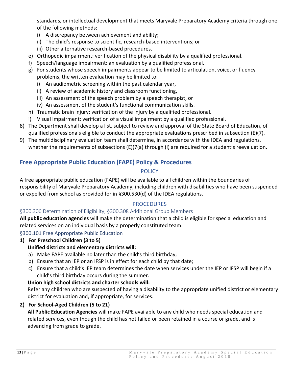standards, or intellectual development that meets Maryvale Preparatory Academy criteria through one of the following methods:

- i) A discrepancy between achievement and ability;
- ii) The child's response to scientific, research-based interventions; or
- iii) Other alternative research-based procedures.
- e) Orthopedic impairment: verification of the physical disability by a qualified professional.
- f) Speech/language impairment: an evaluation by a qualified professional.
- g) For students whose speech impairments appear to be limited to articulation, voice, or fluency problems, the written evaluation may be limited to:
	- i) An audiometric screening within the past calendar year,
	- ii) A review of academic history and classroom functioning,
	- iii) An assessment of the speech problem by a speech therapist, or
	- iv) An assessment of the student's functional communication skills.
- h) Traumatic brain injury: verification of the injury by a qualified professional.
- i) Visual impairment: verification of a visual impairment by a qualified professional.
- 8) The Department shall develop a list, subject to review and approval of the State Board of Education, of qualified professionals eligible to conduct the appropriate evaluations prescribed in subsection (E)(7).
- 9) The multidisciplinary evaluation team shall determine, in accordance with the IDEA and regulations, whether the requirements of subsections (E)(7(a) through (i) are required for a student's reevaluation.

# <span id="page-13-1"></span><span id="page-13-0"></span>**Free Appropriate Public Education (FAPE) Policy & Procedures**

# POLICY

A free appropriate public education (FAPE) will be available to all children within the boundaries of responsibility of Maryvale Preparatory Academy, including children with disabilities who have been suspended or expelled from school as provided for in §300.530(d) of the IDEA regulations.

# **PROCEDURES**

# <span id="page-13-3"></span><span id="page-13-2"></span>§300.306 Determination of Eligibility, §300.308 Additional Group Members

**All public education agencies** will make the determination that a child is eligible for special education and related services on an individual basis by a properly constituted team.

# <span id="page-13-4"></span>§300.101 Free Appropriate Public Education

# **1) For Preschool Children (3 to 5)**

# **Unified districts and elementary districts will:**

- a) Make FAPE available no later than the child's third birthday;
- b) Ensure that an IEP or an IFSP is in effect for each child by that date;
- c) Ensure that a child's IEP team determines the date when services under the IEP or IFSP will begin if a child's third birthday occurs during the summer.

# **Union high school districts and charter schools will:**

Refer any children who are suspected of having a disability to the appropriate unified district or elementary district for evaluation and, if appropriate, for services.

# **2) For School-Aged Children (5 to 21)**

**All Public Education Agencies** will make FAPE available to any child who needs special education and related services, even though the child has not failed or been retained in a course or grade, and is advancing from grade to grade.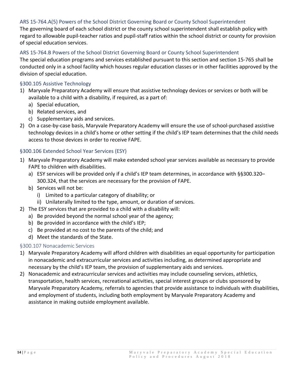#### <span id="page-14-0"></span>ARS 15-764.A(5) Powers of the School District Governing Board or County School Superintendent

The governing board of each school district or the county school superintendent shall establish policy with regard to allowable pupil-teacher ratios and pupil-staff ratios within the school district or county for provision of special education services.

### <span id="page-14-1"></span>ARS 15-764.B Powers of the School District Governing Board or County School Superintendent

The special education programs and services established pursuant to this section and section 15-765 shall be conducted only in a school facility which houses regular education classes or in other facilities approved by the division of special education.

#### <span id="page-14-2"></span>§300.105 Assistive Technology

- 1) Maryvale Preparatory Academy will ensure that assistive technology devices or services or both will be available to a child with a disability, if required, as a part of:
	- a) Special education,
	- b) Related services, and
	- c) Supplementary aids and services.
- 2) On a case-by-case basis, Maryvale Preparatory Academy will ensure the use of school-purchased assistive technology devices in a child's home or other setting if the child's IEP team determines that the child needs access to those devices in order to receive FAPE.

### <span id="page-14-3"></span>§300.106 Extended School Year Services (ESY)

- 1) Maryvale Preparatory Academy will make extended school year services available as necessary to provide FAPE to children with disabilities.
	- a) ESY services will be provided only if a child's IEP team determines, in accordance with §§300.320– 300.324, that the services are necessary for the provision of FAPE.
	- b) Services will not be:
		- i) Limited to a particular category of disability; or
		- ii) Unilaterally limited to the type, amount, or duration of services.
- 2) The ESY services that are provided to a child with a disability will:
	- a) Be provided beyond the normal school year of the agency;
	- b) Be provided in accordance with the child's IEP;
	- c) Be provided at no cost to the parents of the child; and
	- d) Meet the standards of the State.

### <span id="page-14-4"></span>§300.107 Nonacademic Services

- 1) Maryvale Preparatory Academy will afford children with disabilities an equal opportunity for participation in nonacademic and extracurricular services and activities including, as determined appropriate and necessary by the child's IEP team, the provision of supplementary aids and services.
- 2) Nonacademic and extracurricular services and activities may include counseling services, athletics, transportation, health services, recreational activities, special interest groups or clubs sponsored by Maryvale Preparatory Academy, referrals to agencies that provide assistance to individuals with disabilities, and employment of students, including both employment by Maryvale Preparatory Academy and assistance in making outside employment available.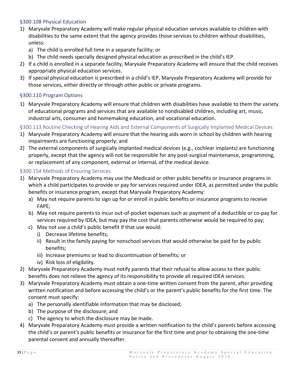### <span id="page-15-0"></span>§300.108 Physical Education

- 1) Maryvale Preparatory Academy will make regular physical education services available to children with disabilities to the same extent that the agency provides those services to children without disabilities, unless:
	- a) The child is enrolled full time in a separate facility; or
	- b) The child needs specially designed physical education as prescribed in the child's IEP.
- 2) If a child is enrolled in a separate facility, Maryvale Preparatory Academy will ensure that the child receives appropriate physical education services.
- 3) If special physical education is prescribed in a child's IEP, Maryvale Preparatory Academy will provide for those services, either directly or through other public or private programs.

### <span id="page-15-1"></span>§300.110 Program Options

1) Maryvale Preparatory Academy will ensure that children with disabilities have available to them the variety of educational programs and services that are available to nondisabled children, including art, music, industrial arts, consumer and homemaking education, and vocational education.

<span id="page-15-2"></span>§300.113 Routine Checking of Hearing Aids and External Components of Surgically Implanted Medical Devices

- 1) Maryvale Preparatory Academy will ensure that the hearing aids worn in school by children with hearing impairments are functioning properly; and
- 2) The external components of surgically implanted medical devices (e.g., cochlear implants) are functioning properly, except that the agency will not be responsible for any post-surgical maintenance, programming, or replacement of any component, external or internal, of the medical device.

### <span id="page-15-3"></span>§300.154 Methods of Ensuring Services

- 1) Maryvale Preparatory Academy may use the Medicaid or other public benefits or insurance programs in which a child participates to provide or pay for services required under IDEA, as permitted under the public benefits or insurance program, except that Maryvale Preparatory Academy:
	- a) May not require parents to sign up for or enroll in public benefits or insurance programs to receive FAPE;
	- b) May not require parents to incur out-of-pocket expenses such as payment of a deductible or co-pay for services required by IDEA, but may pay the cost that parents otherwise would be required to pay;
	- c) May not use a child's public benefit if that use would:
		- i) Decrease lifetime benefits;
		- ii) Result in the family paying for nonschool services that would otherwise be paid for by public benefits;
		- iii) Increase premiums or lead to discontinuation of benefits; or
		- iv) Risk loss of eligibility.
- 2) Maryvale Preparatory Academy must notify parents that their refusal to allow access to their public benefits does not relieve the agency of its responsibility to provide all required IDEA services.
- 3) Maryvale Preparatory Academy must obtain a one-time written consent from the parent, after providing written notification and before accessing the child's or the parent's public benefits for the first time. The consent must specify:
	- a) The personally identifiable information that may be disclosed;
	- b) The purpose of the disclosure; and
	- c) The agency to which the disclosure may be made.
- 4) Maryvale Preparatory Academy must provide a written notification to the child's parents before accessing the child's or parent's public benefits or insurance for the first time and prior to obtaining the one-time parental consent and annually thereafter.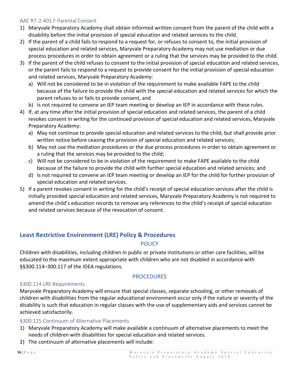## <span id="page-16-0"></span>AAC R7-2-401.F Parental Consent

- 1) Maryvale Preparatory Academy shall obtain informed written consent from the parent of the child with a disability before the initial provision of special education and related services to the child.
- 2) If the parent of a child fails to respond to a request for, or refuses to consent to, the initial provision of special education and related services, Maryvale Preparatory Academy may not use mediation or due process procedures in order to obtain agreement or a ruling that the services may be provided to the child.
- 3) If the parent of the child refuses to consent to the initial provision of special education and related services, or the parent fails to respond to a request to provide consent for the initial provision of special education and related services, Maryvale Preparatory Academy:
	- a) Will not be considered to be in violation of the requirement to make available FAPE to the child because of the failure to provide the child with the special education and related services for which the parent refuses to or fails to provide consent, and
	- b) Is not required to convene an IEP team meeting or develop an IEP in accordance with these rules.
- 4) If, at any time after the initial provision of special education and related services, the parent of a child revokes consent in writing for the continued provision of special education and related services, Maryvale Preparatory Academy:
	- a) May not continue to provide special education and related services to the child, but shall provide prior written notice before ceasing the provision of special education and related services;
	- b) May not use the mediation procedures or the due process procedures in order to obtain agreement or a ruling that the services may be provided to the child;
	- c) Will not be considered to be in violation of the requirement to make FAPE available to the child because of the failure to provide the child with further special education and related services; and
	- d) Is not required to convene an IEP team meeting or develop an IEP for the child for further provision of special education and related services.
- 5) If a parent revokes consent in writing for the child's receipt of special education services after the child is initially provided special education and related services, Maryvale Preparatory Academy is not required to amend the child's education records to remove any references to the child's receipt of special education and related services because of the revocation of consent.

# <span id="page-16-2"></span><span id="page-16-1"></span>**Least Restrictive Environment (LRE) Policy & Procedures**

# **POLICY**

Children with disabilities, including children in public or private institutions or other care facilities, will be educated to the maximum extent appropriate with children who are not disabled in accordance with §§300.114–300.117 of the IDEA regulations.

# PROCEDURES

# <span id="page-16-4"></span><span id="page-16-3"></span>§300.114 LRE Requirements

Maryvale Preparatory Academy will ensure that special classes, separate schooling, or other removals of children with disabilities from the regular educational environment occur only if the nature or severity of the disability is such that education in regular classes with the use of supplementary aids and services cannot be achieved satisfactorily.

# <span id="page-16-5"></span>§300.115 Continuum of Alternative Placements

- 1) Maryvale Preparatory Academy will make available a continuum of alternative placements to meet the needs of children with disabilities for special education and related services.
- 2) The continuum of alternative placements will include: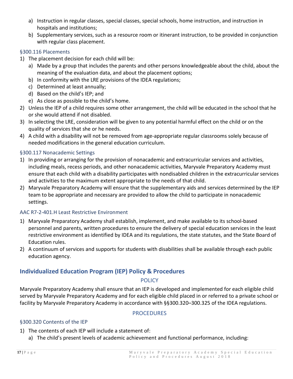- a) Instruction in regular classes, special classes, special schools, home instruction, and instruction in hospitals and institutions;
- b) Supplementary services, such as a resource room or itinerant instruction, to be provided in conjunction with regular class placement.

### <span id="page-17-0"></span>§300.116 Placements

- 1) The placement decision for each child will be:
	- a) Made by a group that includes the parents and other persons knowledgeable about the child, about the meaning of the evaluation data, and about the placement options;
	- b) In conformity with the LRE provisions of the IDEA regulations;
	- c) Determined at least annually;
	- d) Based on the child's IEP; and
	- e) As close as possible to the child's home.
- 2) Unless the IEP of a child requires some other arrangement, the child will be educated in the school that he or she would attend if not disabled.
- 3) In selecting the LRE, consideration will be given to any potential harmful effect on the child or on the quality of services that she or he needs.
- 4) A child with a disability will not be removed from age-appropriate regular classrooms solely because of needed modifications in the general education curriculum.

# <span id="page-17-1"></span>§300.117 Nonacademic Settings

- 1) In providing or arranging for the provision of nonacademic and extracurricular services and activities, including meals, recess periods, and other nonacademic activities, Maryvale Preparatory Academy must ensure that each child with a disability participates with nondisabled children in the extracurricular services and activities to the maximum extent appropriate to the needs of that child.
- 2) Maryvale Preparatory Academy will ensure that the supplementary aids and services determined by the IEP team to be appropriate and necessary are provided to allow the child to participate in nonacademic settings.

# <span id="page-17-2"></span>AAC R7-2-401.H Least Restrictive Environment

- 1) Maryvale Preparatory Academy shall establish, implement, and make available to its school-based personnel and parents, written procedures to ensure the delivery of special education services in the least restrictive environment as identified by IDEA and its regulations, the state statutes, and the State Board of Education rules.
- 2) A continuum of services and supports for students with disabilities shall be available through each public education agency.

# <span id="page-17-4"></span><span id="page-17-3"></span>**Individualized Education Program (IEP) Policy & Procedures**

# **POLICY**

Maryvale Preparatory Academy shall ensure that an IEP is developed and implemented for each eligible child served by Maryvale Preparatory Academy and for each eligible child placed in or referred to a private school or facility by Maryvale Preparatory Academy in accordance with §§300.320–300.325 of the IDEA regulations.

# PROCEDURES

### <span id="page-17-6"></span><span id="page-17-5"></span>§300.320 Contents of the IEP

- 1) The contents of each IEP will include a statement of:
	- a) The child's present levels of academic achievement and functional performance, including: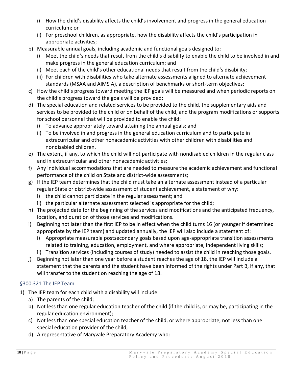- i) How the child's disability affects the child's involvement and progress in the general education curriculum; or
- ii) For preschool children, as appropriate, how the disability affects the child's participation in appropriate activities;
- b) Measurable annual goals, including academic and functional goals designed to:
	- i) Meet the child's needs that result from the child's disability to enable the child to be involved in and make progress in the general education curriculum; and
	- ii) Meet each of the child's other educational needs that result from the child's disability;
	- iii) For children with disabilities who take alternate assessments aligned to alternate achievement standards (MSAA and AIMS A), a description of benchmarks or short-term objectives;
- c) How the child's progress toward meeting the IEP goals will be measured and when periodic reports on the child's progress toward the goals will be provided;
- d) The special education and related services to be provided to the child, the supplementary aids and services to be provided to the child or on behalf of the child, and the program modifications or supports for school personnel that will be provided to enable the child:
	- i) To advance appropriately toward attaining the annual goals; and
	- ii) To be involved in and progress in the general education curriculum and to participate in extracurricular and other nonacademic activities with other children with disabilities and nondisabled children.
- e) The extent, if any, to which the child will not participate with nondisabled children in the regular class and in extracurricular and other nonacademic activities;
- f) Any individual accommodations that are needed to measure the academic achievement and functional performance of the child on State and district-wide assessments;
- g) If the IEP team determines that the child must take an alternate assessment instead of a particular regular State or district-wide assessment of student achievement, a statement of why:
	- i) the child cannot participate in the regular assessment; and
	- ii) the particular alternate assessment selected is appropriate for the child;
- h) The projected date for the beginning of the services and modifications and the anticipated frequency, location, and duration of those services and modifications.
- i) Beginning not later than the first IEP to be in effect when the child turns 16 (or younger if determined appropriate by the IEP team) and updated annually, the IEP will also include a statement of:
	- i) Appropriate measurable postsecondary goals based upon age-appropriate transition assessments related to training, education, employment, and where appropriate, independent living skills;
	- ii) Transition services (including courses of study) needed to assist the child in reaching those goals.
- j) Beginning not later than one year before a student reaches the age of 18, the IEP will include a statement that the parents and the student have been informed of the rights under Part B, if any, that will transfer to the student on reaching the age of 18.

# <span id="page-18-0"></span>§300.321 The IEP Team

- 1) The IEP team for each child with a disability will include:
	- a) The parents of the child;
	- b) Not less than one regular education teacher of the child (if the child is, or may be, participating in the regular education environment);
	- c) Not less than one special education teacher of the child, or where appropriate, not less than one special education provider of the child;
	- d) A representative of Maryvale Preparatory Academy who: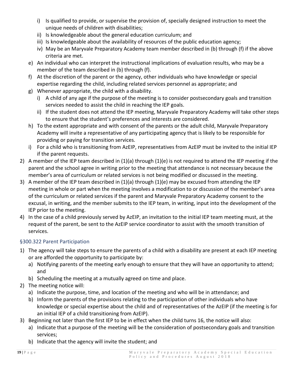- i) Is qualified to provide, or supervise the provision of, specially designed instruction to meet the unique needs of children with disabilities;
- ii) Is knowledgeable about the general education curriculum; and
- iii) Is knowledgeable about the availability of resources of the public education agency;
- iv) May be an Maryvale Preparatory Academy team member described in (b) through (f) if the above criteria are met.
- e) An individual who can interpret the instructional implications of evaluation results, who may be a member of the team described in (b) through (f).
- f) At the discretion of the parent or the agency, other individuals who have knowledge or special expertise regarding the child, including related services personnel as appropriate; and
- g) Whenever appropriate, the child with a disability.
	- i) A child of any age if the purpose of the meeting is to consider postsecondary goals and transition services needed to assist the child in reaching the IEP goals.
	- ii) If the student does not attend the IEP meeting, Maryvale Preparatory Academy will take other steps to ensure that the student's preferences and interests are considered.
- h) To the extent appropriate and with consent of the parents or the adult child, Maryvale Preparatory Academy will invite a representative of any participating agency that is likely to be responsible for providing or paying for transition services.
- i) For a child who is transitioning from AzEIP, representatives from AzEIP must be invited to the initial IEP if the parent requests.
- 2) A member of the IEP team described in (1)(a) through (1)(e) is not required to attend the IEP meeting if the parent and the school agree in writing prior to the meeting that attendance is not necessary because the member's area of curriculum or related services is not being modified or discussed in the meeting.
- 3) A member of the IEP team described in (1)(a) through (1)(e) may be excused from attending the IEP meeting in whole or part when the meeting involves a modification to or discussion of the member's area of the curriculum or related services if the parent and Maryvale Preparatory Academy consent to the excusal, in writing, and the member submits to the IEP team, in writing, input into the development of the IEP prior to the meeting.
- 4) In the case of a child previously served by AzEIP, an invitation to the initial IEP team meeting must, at the request of the parent, be sent to the AzEIP service coordinator to assist with the smooth transition of services.

# <span id="page-19-0"></span>§300.322 Parent Participation

- 1) The agency will take steps to ensure the parents of a child with a disability are present at each IEP meeting or are afforded the opportunity to participate by:
	- a) Notifying parents of the meeting early enough to ensure that they will have an opportunity to attend; and
	- b) Scheduling the meeting at a mutually agreed on time and place.
- 2) The meeting notice will:
	- a) Indicate the purpose, time, and location of the meeting and who will be in attendance; and
	- b) Inform the parents of the provisions relating to the participation of other individuals who have knowledge or special expertise about the child and of representatives of the AzEIP (if the meeting is for an initial IEP of a child transitioning from AzEIP).
- 3) Beginning not later than the first IEP to be in effect when the child turns 16, the notice will also:
	- a) Indicate that a purpose of the meeting will be the consideration of postsecondary goals and transition services;
	- b) Indicate that the agency will invite the student; and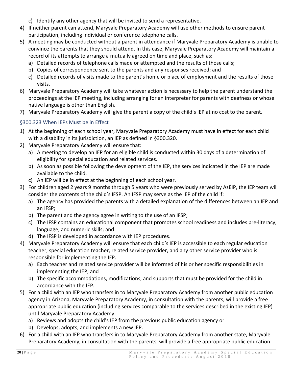- c) Identify any other agency that will be invited to send a representative.
- 4) If neither parent can attend, Maryvale Preparatory Academy will use other methods to ensure parent participation, including individual or conference telephone calls.
- 5) A meeting may be conducted without a parent in attendance if Maryvale Preparatory Academy is unable to convince the parents that they should attend. In this case, Maryvale Preparatory Academy will maintain a record of its attempts to arrange a mutually agreed on time and place, such as:
	- a) Detailed records of telephone calls made or attempted and the results of those calls;
	- b) Copies of correspondence sent to the parents and any responses received; and
	- c) Detailed records of visits made to the parent's home or place of employment and the results of those visits.
- 6) Maryvale Preparatory Academy will take whatever action is necessary to help the parent understand the proceedings at the IEP meeting, including arranging for an interpreter for parents with deafness or whose native language is other than English.
- 7) Maryvale Preparatory Academy will give the parent a copy of the child's IEP at no cost to the parent.

# <span id="page-20-0"></span>§300.323 When IEPs Must be in Effect

- 1) At the beginning of each school year, Maryvale Preparatory Academy must have in effect for each child with a disability in its jurisdiction, an IEP as defined in §300.320.
- 2) Maryvale Preparatory Academy will ensure that:
	- a) A meeting to develop an IEP for an eligible child is conducted within 30 days of a determination of eligibility for special education and related services.
	- b) As soon as possible following the development of the IEP, the services indicated in the IEP are made available to the child.
	- c) An IEP will be in effect at the beginning of each school year.
- 3) For children aged 2 years 9 months through 5 years who were previously served by AzEIP, the IEP team will consider the contents of the child's IFSP. An IFSP may serve as the IEP of the child if:
	- a) The agency has provided the parents with a detailed explanation of the differences between an IEP and an IFSP;
	- b) The parent and the agency agree in writing to the use of an IFSP;
	- c) The IFSP contains an educational component that promotes school readiness and includes pre-literacy, language, and numeric skills; and
	- d) The IFSP is developed in accordance with IEP procedures.
- 4) Maryvale Preparatory Academy will ensure that each child's IEP is accessible to each regular education teacher, special education teacher, related service provider, and any other service provider who is responsible for implementing the IEP.
	- a) Each teacher and related service provider will be informed of his or her specific responsibilities in implementing the IEP; and
	- b) The specific accommodations, modifications, and supports that must be provided for the child in accordance with the IEP.
- 5) For a child with an IEP who transfers in to Maryvale Preparatory Academy from another public education agency in Arizona, Maryvale Preparatory Academy, in consultation with the parents, will provide a free appropriate public education (including services comparable to the services described in the existing IEP) until Maryvale Preparatory Academy:
	- a) Reviews and adopts the child's IEP from the previous public education agency or
	- b) Develops, adopts, and implements a new IEP.
- 6) For a child with an IEP who transfers in to Maryvale Preparatory Academy from another state, Maryvale Preparatory Academy, in consultation with the parents, will provide a free appropriate public education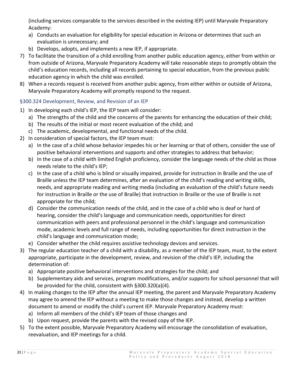(including services comparable to the services described in the existing IEP) until Maryvale Preparatory Academy:

- a) Conducts an evaluation for eligibility for special education in Arizona or determines that such an evaluation is unnecessary; and
- b) Develops, adopts, and implements a new IEP, if appropriate.
- 7) To facilitate the transition of a child enrolling from another public education agency, either from within or from outside of Arizona, Maryvale Preparatory Academy will take reasonable steps to promptly obtain the child's education records, including all records pertaining to special education, from the previous public education agency in which the child was enrolled.
- 8) When a records request is received from another pubic agency, from either within or outside of Arizona, Maryvale Preparatory Academy will promptly respond to the request.

# <span id="page-21-0"></span>§300.324 Development, Review, and Revision of an IEP

- 1) In developing each child's IEP, the IEP team will consider:
	- a) The strengths of the child and the concerns of the parents for enhancing the education of their child;
	- b) The results of the initial or most recent evaluation of the child; and
	- c) The academic, developmental, and functional needs of the child.
- 2) In consideration of special factors, the IEP team must:
	- a) In the case of a child whose behavior impedes his or her learning or that of others, consider the use of positive behavioral interventions and supports and other strategies to address that behavior;
	- b) In the case of a child with limited English proficiency, consider the language needs of the child as those needs relate to the child's IEP;
	- c) In the case of a child who is blind or visually impaired, provide for instruction in Braille and the use of Braille unless the IEP team determines, after an evaluation of the child's reading and writing skills, needs, and appropriate reading and writing media (including an evaluation of the child's future needs for instruction in Braille or the use of Braille) that instruction in Braille or the use of Braille is not appropriate for the child;
	- d) Consider the communication needs of the child, and in the case of a child who is deaf or hard of hearing, consider the child's language and communication needs, opportunities for direct communication with peers and professional personnel in the child's language and communication mode, academic levels and full range of needs, including opportunities for direct instruction in the child's language and communication mode;
	- e) Consider whether the child requires assistive technology devices and services.
- 3) The regular education teacher of a child with a disability, as a member of the IEP team, must, to the extent appropriate, participate in the development, review, and revision of the child's IEP, including the determination of:
	- a) Appropriate positive behavioral interventions and strategies for the child; and
	- b) Supplementary aids and services, program modifications, and/or supports for school personnel that will be provided for the child, consistent with §300.320(a)(4).
- 4) In making changes to the IEP after the annual IEP meeting, the parent and Maryvale Preparatory Academy may agree to amend the IEP without a meeting to make those changes and instead, develop a written document to amend or modify the child's current IEP. Maryvale Preparatory Academy must:
	- a) Inform all members of the child's IEP team of those changes and
	- b) Upon request, provide the parents with the revised copy of the IEP.
- 5) To the extent possible, Maryvale Preparatory Academy will encourage the consolidation of evaluation, reevaluation, and IEP meetings for a child.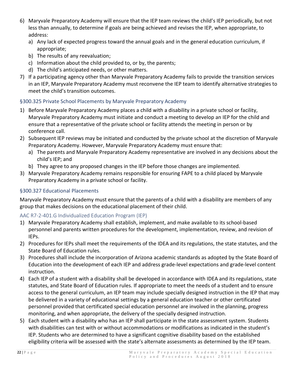- 6) Maryvale Preparatory Academy will ensure that the IEP team reviews the child's IEP periodically, but not less than annually, to determine if goals are being achieved and revises the IEP, when appropriate, to address:
	- a) Any lack of expected progress toward the annual goals and in the general education curriculum, if appropriate;
	- b) The results of any reevaluation;
	- c) Information about the child provided to, or by, the parents;
	- d) The child's anticipated needs, or other matters.
- 7) If a participating agency other than Maryvale Preparatory Academy fails to provide the transition services in an IEP, Maryvale Preparatory Academy must reconvene the IEP team to identify alternative strategies to meet the child's transition outcomes.

# <span id="page-22-0"></span>§300.325 Private School Placements by Maryvale Preparatory Academy

- 1) Before Maryvale Preparatory Academy places a child with a disability in a private school or facility, Maryvale Preparatory Academy must initiate and conduct a meeting to develop an IEP for the child and ensure that a representative of the private school or facility attends the meeting in person or by conference call.
- 2) Subsequent IEP reviews may be initiated and conducted by the private school at the discretion of Maryvale Preparatory Academy. However, Maryvale Preparatory Academy must ensure that:
	- a) The parents and Maryvale Preparatory Academy representative are involved in any decisions about the child's IEP; and
	- b) They agree to any proposed changes in the IEP before those changes are implemented.
- 3) Maryvale Preparatory Academy remains responsible for ensuring FAPE to a child placed by Maryvale Preparatory Academy in a private school or facility.

# <span id="page-22-1"></span>§300.327 Educational Placements

Maryvale Preparatory Academy must ensure that the parents of a child with a disability are members of any group that makes decisions on the educational placement of their child.

# <span id="page-22-2"></span>AAC R7-2-401.G Individualized Education Program (IEP)

- 1) Maryvale Preparatory Academy shall establish, implement, and make available to its school-based personnel and parents written procedures for the development, implementation, review, and revision of IEPs.
- 2) Procedures for IEPs shall meet the requirements of the IDEA and its regulations, the state statutes, and the State Board of Education rules.
- 3) Procedures shall include the incorporation of Arizona academic standards as adopted by the State Board of Education into the development of each IEP and address grade-level expectations and grade-level content instruction.
- 4) Each IEP of a student with a disability shall be developed in accordance with IDEA and its regulations, state statutes, and State Board of Education rules. If appropriate to meet the needs of a student and to ensure access to the general curriculum, an IEP team may include specially designed instruction in the IEP that may be delivered in a variety of educational settings by a general education teacher or other certificated personnel provided that certificated special education personnel are involved in the planning, progress monitoring, and when appropriate, the delivery of the specially designed instruction.
- 5) Each student with a disability who has an IEP shall participate in the state assessment system. Students with disabilities can test with or without accommodations or modifications as indicated in the student's IEP. Students who are determined to have a significant cognitive disability based on the established eligibility criteria will be assessed with the state's alternate assessments as determined by the IEP team.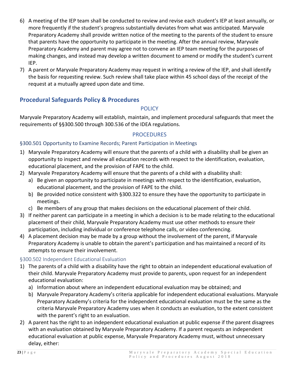- 6) A meeting of the IEP team shall be conducted to review and revise each student's IEP at least annually, or more frequently if the student's progress substantially deviates from what was anticipated. Maryvale Preparatory Academy shall provide written notice of the meeting to the parents of the student to ensure that parents have the opportunity to participate in the meeting. After the annual review, Maryvale Preparatory Academy and parent may agree not to convene an IEP team meeting for the purposes of making changes, and instead may develop a written document to amend or modify the student's current IEP.
- 7) A parent or Maryvale Preparatory Academy may request in writing a review of the IEP, and shall identify the basis for requesting review. Such review shall take place within 45 school days of the receipt of the request at a mutually agreed upon date and time.

# <span id="page-23-1"></span><span id="page-23-0"></span>**Procedural Safeguards Policy & Procedures**

### **POLICY**

Maryvale Preparatory Academy will establish, maintain, and implement procedural safeguards that meet the requirements of §§300.500 through 300.536 of the IDEA regulations.

### PROCEDURES

### <span id="page-23-3"></span><span id="page-23-2"></span>§300.501 Opportunity to Examine Records; Parent Participation in Meetings

- 1) Maryvale Preparatory Academy will ensure that the parents of a child with a disability shall be given an opportunity to inspect and review all education records with respect to the identification, evaluation, educational placement, and the provision of FAPE to the child.
- 2) Maryvale Preparatory Academy will ensure that the parents of a child with a disability shall:
	- a) Be given an opportunity to participate in meetings with respect to the identification, evaluation, educational placement, and the provision of FAPE to the child.
	- b) Be provided notice consistent with §300.322 to ensure they have the opportunity to participate in meetings.
	- c) Be members of any group that makes decisions on the educational placement of their child.
- 3) If neither parent can participate in a meeting in which a decision is to be made relating to the educational placement of their child, Maryvale Preparatory Academy must use other methods to ensure their participation, including individual or conference telephone calls, or video conferencing.
- 4) A placement decision may be made by a group without the involvement of the parent, if Maryvale Preparatory Academy is unable to obtain the parent's participation and has maintained a record of its attempts to ensure their involvement.

# <span id="page-23-4"></span>§300.502 Independent Educational Evaluation

- 1) The parents of a child with a disability have the right to obtain an independent educational evaluation of their child. Maryvale Preparatory Academy must provide to parents, upon request for an independent educational evaluation:
	- a) Information about where an independent educational evaluation may be obtained; and
	- b) Maryvale Preparatory Academy's criteria applicable for independent educational evaluations. Maryvale Preparatory Academy's criteria for the independent educational evaluation must be the same as the criteria Maryvale Preparatory Academy uses when it conducts an evaluation, to the extent consistent with the parent's right to an evaluation.
- 2) A parent has the right to an independent educational evaluation at public expense if the parent disagrees with an evaluation obtained by Maryvale Preparatory Academy. If a parent requests an independent educational evaluation at public expense, Maryvale Preparatory Academy must, without unnecessary delay, either: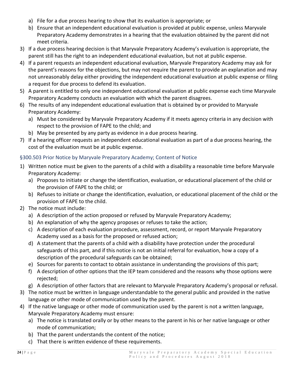- a) File for a due process hearing to show that its evaluation is appropriate; or
- b) Ensure that an independent educational evaluation is provided at public expense, unless Maryvale Preparatory Academy demonstrates in a hearing that the evaluation obtained by the parent did not meet criteria.
- 3) If a due process hearing decision is that Maryvale Preparatory Academy's evaluation is appropriate, the parent still has the right to an independent educational evaluation, but not at public expense.
- 4) If a parent requests an independent educational evaluation, Maryvale Preparatory Academy may ask for the parent's reasons for the objections, but may not require the parent to provide an explanation and may not unreasonably delay either providing the independent educational evaluation at public expense or filing a request for due process to defend its evaluation.
- 5) A parent is entitled to only one independent educational evaluation at public expense each time Maryvale Preparatory Academy conducts an evaluation with which the parent disagrees.
- 6) The results of any independent educational evaluation that is obtained by or provided to Maryvale Preparatory Academy:
	- a) Must be considered by Maryvale Preparatory Academy if it meets agency criteria in any decision with respect to the provision of FAPE to the child; and
	- b) May be presented by any party as evidence in a due process hearing.
- 7) If a hearing officer requests an independent educational evaluation as part of a due process hearing, the cost of the evaluation must be at public expense.

# <span id="page-24-0"></span>§300.503 Prior Notice by Maryvale Preparatory Academy; Content of Notice

- 1) Written notice must be given to the parents of a child with a disability a reasonable time before Maryvale Preparatory Academy:
	- a) Proposes to initiate or change the identification, evaluation, or educational placement of the child or the provision of FAPE to the child; or
	- b) Refuses to initiate or change the identification, evaluation, or educational placement of the child or the provision of FAPE to the child.
- 2) The notice must include:
	- a) A description of the action proposed or refused by Maryvale Preparatory Academy;
	- b) An explanation of why the agency proposes or refuses to take the action;
	- c) A description of each evaluation procedure, assessment, record, or report Maryvale Preparatory Academy used as a basis for the proposed or refused action;
	- d) A statement that the parents of a child with a disability have protection under the procedural safeguards of this part, and if this notice is not an initial referral for evaluation, how a copy of a description of the procedural safeguards can be obtained;
	- e) Sources for parents to contact to obtain assistance in understanding the provisions of this part;
	- f) A description of other options that the IEP team considered and the reasons why those options were rejected;
	- g) A description of other factors that are relevant to Maryvale Preparatory Academy's proposal or refusal.
- 3) The notice must be written in language understandable to the general public and provided in the native language or other mode of communication used by the parent.
- 4) If the native language or other mode of communication used by the parent is not a written language, Maryvale Preparatory Academy must ensure:
	- a) The notice is translated orally or by other means to the parent in his or her native language or other mode of communication;
	- b) That the parent understands the content of the notice;
	- c) That there is written evidence of these requirements.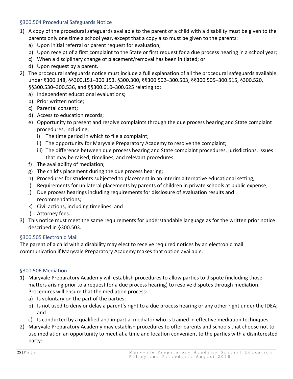### <span id="page-25-0"></span>§300.504 Procedural Safeguards Notice

- 1) A copy of the procedural safeguards available to the parent of a child with a disability must be given to the parents only one time a school year, except that a copy also must be given to the parents:
	- a) Upon initial referral or parent request for evaluation;
	- b) Upon receipt of a first complaint to the State or first request for a due process hearing in a school year;
	- c) When a disciplinary change of placement/removal has been initiated; or
	- d) Upon request by a parent.
- 2) The procedural safeguards notice must include a full explanation of all the procedural safeguards available under §300.148, §§300.151–300.153, §300.300, §§300.502–300.503, §§300.505–300.515, §300.520, §§300.530–300.536, and §§300.610–300.625 relating to:
	- a) Independent educational evaluations;
	- b) Prior written notice;
	- c) Parental consent;
	- d) Access to education records;
	- e) Opportunity to present and resolve complaints through the due process hearing and State complaint procedures, including;
		- i) The time period in which to file a complaint;
		- ii) The opportunity for Maryvale Preparatory Academy to resolve the complaint;
		- iii) The difference between due process hearing and State complaint procedures, jurisdictions, issues that may be raised, timelines, and relevant procedures.
	- f) The availability of mediation;
	- g) The child's placement during the due process hearing;
	- h) Procedures for students subjected to placement in an interim alternative educational setting;
	- i) Requirements for unilateral placements by parents of children in private schools at public expense;
	- j) Due process hearings including requirements for disclosure of evaluation results and recommendations;
	- k) Civil actions, including timelines; and
	- l) Attorney fees.
- 3) This notice must meet the same requirements for understandable language as for the written prior notice described in §300.503.

### <span id="page-25-1"></span>§300.505 Electronic Mail

The parent of a child with a disability may elect to receive required notices by an electronic mail communication if Maryvale Preparatory Academy makes that option available.

### <span id="page-25-2"></span>§300.506 Mediation

- 1) Maryvale Preparatory Academy will establish procedures to allow parties to dispute (including those matters arising prior to a request for a due process hearing) to resolve disputes through mediation. Procedures will ensure that the mediation process:
	- a) Is voluntary on the part of the parties;
	- b) Is not used to deny or delay a parent's right to a due process hearing or any other right under the IDEA; and
	- c) Is conducted by a qualified and impartial mediator who is trained in effective mediation techniques.
- 2) Maryvale Preparatory Academy may establish procedures to offer parents and schools that choose not to use mediation an opportunity to meet at a time and location convenient to the parties with a disinterested party: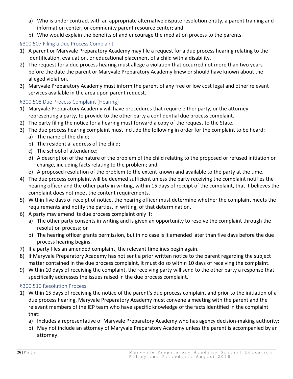- a) Who is under contract with an appropriate alternative dispute resolution entity, a parent training and information center, or community parent resource center; and
- b) Who would explain the benefits of and encourage the mediation process to the parents.

# <span id="page-26-0"></span>§300.507 Filing a Due Process Complaint

- 1) A parent or Maryvale Preparatory Academy may file a request for a due process hearing relating to the identification, evaluation, or educational placement of a child with a disability.
- 2) The request for a due process hearing must allege a violation that occurred not more than two years before the date the parent or Maryvale Preparatory Academy knew or should have known about the alleged violation.
- 3) Maryvale Preparatory Academy must inform the parent of any free or low cost legal and other relevant services available in the area upon parent request.

### <span id="page-26-1"></span>§300.508 Due Process Complaint (Hearing)

- 1) Maryvale Preparatory Academy will have procedures that require either party, or the attorney representing a party, to provide to the other party a confidential due process complaint.
- 2) The party filing the notice for a hearing must forward a copy of the request to the State.
- 3) The due process hearing complaint must include the following in order for the complaint to be heard:
	- a) The name of the child;
	- b) The residential address of the child;
	- c) The school of attendance;
	- d) A description of the nature of the problem of the child relating to the proposed or refused initiation or change, including facts relating to the problem; and
	- e) A proposed resolution of the problem to the extent known and available to the party at the time.
- 4) The due process complaint will be deemed sufficient unless the party receiving the complaint notifies the hearing officer and the other party in writing, within 15 days of receipt of the complaint, that it believes the complaint does not meet the content requirements.
- 5) Within five days of receipt of notice, the hearing officer must determine whether the complaint meets the requirements and notify the parties, in writing, of that determination.
- 6) A party may amend its due process complaint only if:
	- a) The other party consents in writing and is given an opportunity to resolve the complaint through the resolution process; or
	- b) The hearing officer grants permission, but in no case is it amended later than five days before the due process hearing begins.
- 7) If a party files an amended complaint, the relevant timelines begin again.
- 8) If Maryvale Preparatory Academy has not sent a prior written notice to the parent regarding the subject matter contained in the due process complaint, it must do so within 10 days of receiving the complaint.
- 9) Within 10 days of receiving the complaint, the receiving party will send to the other party a response that specifically addresses the issues raised in the due process complaint.

### <span id="page-26-2"></span>§300.510 Resolution Process

- 1) Within 15 days of receiving the notice of the parent's due process complaint and prior to the initiation of a due process hearing, Maryvale Preparatory Academy must convene a meeting with the parent and the relevant members of the IEP team who have specific knowledge of the facts identified in the complaint that:
	- a) Includes a representative of Maryvale Preparatory Academy who has agency decision-making authority;
	- b) May not include an attorney of Maryvale Preparatory Academy unless the parent is accompanied by an attorney.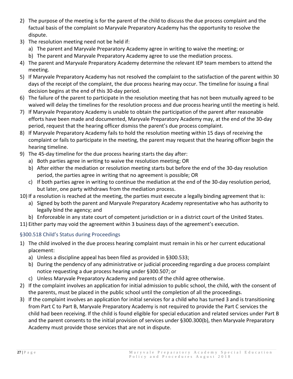- 2) The purpose of the meeting is for the parent of the child to discuss the due process complaint and the factual basis of the complaint so Maryvale Preparatory Academy has the opportunity to resolve the dispute.
- 3) The resolution meeting need not be held if:
	- a) The parent and Maryvale Preparatory Academy agree in writing to waive the meeting; or
	- b) The parent and Maryvale Preparatory Academy agree to use the mediation process.
- 4) The parent and Maryvale Preparatory Academy determine the relevant IEP team members to attend the meeting.
- 5) If Maryvale Preparatory Academy has not resolved the complaint to the satisfaction of the parent within 30 days of the receipt of the complaint, the due process hearing may occur. The timeline for issuing a final decision begins at the end of this 30-day period.
- 6) The failure of the parent to participate in the resolution meeting that has not been mutually agreed to be waived will delay the timelines for the resolution process and due process hearing until the meeting is held.
- 7) If Maryvale Preparatory Academy is unable to obtain the participation of the parent after reasonable efforts have been made and documented, Maryvale Preparatory Academy may, at the end of the 30-day period, request that the hearing officer dismiss the parent's due process complaint.
- 8) If Maryvale Preparatory Academy fails to hold the resolution meeting within 15 days of receiving the complaint or fails to participate in the meeting, the parent may request that the hearing officer begin the hearing timeline.
- 9) The 45-day timeline for the due process hearing starts the day after:
	- a) Both parties agree in writing to waive the resolution meeting; OR
	- b) After either the mediation or resolution meeting starts but before the end of the 30-day resolution period, the parties agree in writing that no agreement is possible; OR
	- c) If both parties agree in writing to continue the mediation at the end of the 30-day resolution period, but later, one party withdraws from the mediation process.
- 10) If a resolution is reached at the meeting, the parties must execute a legally binding agreement that is:
	- a) Signed by both the parent and Maryvale Preparatory Academy representative who has authority to legally bind the agency; and
	- b) Enforceable in any state court of competent jurisdiction or in a district court of the United States.
- 11) Either party may void the agreement within 3 business days of the agreement's execution.

# <span id="page-27-0"></span>§300.518 Child's Status during Proceedings

- 1) The child involved in the due process hearing complaint must remain in his or her current educational placement:
	- a) Unless a discipline appeal has been filed as provided in §300.533;
	- b) During the pendency of any administrative or judicial proceeding regarding a due process complaint notice requesting a due process hearing under §300.507; or
	- c) Unless Maryvale Preparatory Academy and parents of the child agree otherwise.
- 2) If the complaint involves an application for initial admission to public school, the child, with the consent of the parents, must be placed in the public school until the completion of all the proceedings.
- 3) If the complaint involves an application for initial services for a child who has turned 3 and is transitioning from Part C to Part B, Maryvale Preparatory Academy is not required to provide the Part C services the child had been receiving. If the child is found eligible for special education and related services under Part B and the parent consents to the initial provision of services under §300.300(b), then Maryvale Preparatory Academy must provide those services that are not in dispute.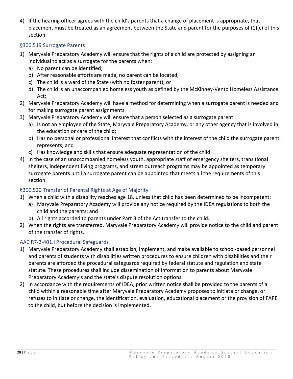4) If the hearing officer agrees with the child's parents that a change of placement is appropriate, that placement must be treated as an agreement between the State and parent for the purposes of (1)(c) of this section.

### <span id="page-28-0"></span>§300.519 Surrogate Parents

- 1) Maryvale Preparatory Academy will ensure that the rights of a child are protected by assigning an individual to act as a surrogate for the parents when:
	- a) No parent can be identified;
	- b) After reasonable efforts are made, no parent can be located;
	- c) The child is a ward of the State (with no foster parent); or
	- d) The child is an unaccompanied homeless youth as defined by the McKinney-Vento Homeless Assistance Act;
- 2) Maryvale Preparatory Academy will have a method for determining when a surrogate parent is needed and for making surrogate parent assignments.
- 3) Maryvale Preparatory Academy will ensure that a person selected as a surrogate parent:
	- a) Is not an employee of the State, Maryvale Preparatory Academy, or any other agency that is involved in the education or care of the child;
	- b) Has no personal or professional interest that conflicts with the interest of the child the surrogate parent represents; and
	- c) Has knowledge and skills that ensure adequate representation of the child.
- 4) In the case of an unaccompanied homeless youth, appropriate staff of emergency shelters, transitional shelters, independent living programs, and street outreach programs may be appointed as temporary surrogate parents until a surrogate parent can be appointed that meets all the requirements of this section.

# <span id="page-28-1"></span>§300.520 Transfer of Parental Rights at Age of Majority

- 1) When a child with a disability reaches age 18, unless that child has been determined to be incompetent:
	- a) Maryvale Preparatory Academy will provide any notice required by the IDEA regulations to both the child and the parents; and
	- b) All rights accorded to parents under Part B of the Act transfer to the child.
- 2) When the rights are transferred, Maryvale Preparatory Academy will provide notice to the child and parent of the transfer of rights.

# <span id="page-28-2"></span>AAC R7-2-401.I Procedural Safeguards

- 1) Maryvale Preparatory Academy shall establish, implement, and make available to school-based personnel and parents of students with disabilities written procedures to ensure children with disabilities and their parents are afforded the procedural safeguards required by federal statute and regulation and state statute. These procedures shall include dissemination of information to parents about Maryvale Preparatory Academy's and the state's dispute resolution options.
- 2) In accordance with the requirements of IDEA, prior written notice shall be provided to the parents of a child within a reasonable time after Maryvale Preparatory Academy proposes to initiate or change, or refuses to initiate or change, the identification, evaluation, educational placement or the provision of FAPE to the child, but before the decision is implemented.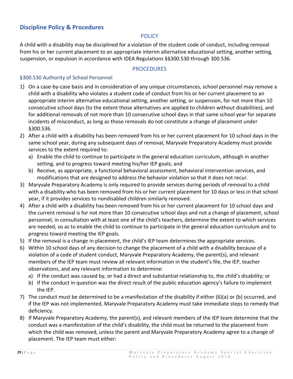# <span id="page-29-1"></span><span id="page-29-0"></span>**Discipline Policy & Procedures**

### **POLICY**

A child with a disability may be disciplined for a violation of the student code of conduct, including removal from his or her current placement to an appropriate interim alternative educational setting, another setting, suspension, or expulsion in accordance with IDEA Regulations §§300.530 through 300.536.

#### PROCEDURES

### <span id="page-29-3"></span><span id="page-29-2"></span>§300.530 Authority of School Personnel

- 1) On a case-by-case basis and in consideration of any unique circumstances, school personnel may remove a child with a disability who violates a student code of conduct from his or her current placement to an appropriate interim alternative educational setting, another setting, or suspension, for not more than 10 consecutive school days (to the extent those alternatives are applied to children without disabilities), and for additional removals of not more than 10 consecutive school days in that same school year for separate incidents of misconduct, as long as those removals do not constitute a change of placement under §300.536.
- 2) After a child with a disability has been removed from his or her current placement for 10 school days in the same school year, during any subsequent days of removal, Maryvale Preparatory Academy must provide services to the extent required to:
	- a) Enable the child to continue to participate in the general education curriculum, although in another setting, and to progress toward meeting his/her IEP goals; and
	- b) Receive, as appropriate, a functional behavioral assessment, behavioral intervention services, and modifications that are designed to address the behavior violation so that it does not recur.
- 3) Maryvale Preparatory Academy is only required to provide services during periods of removal to a child with a disability who has been removed from his or her current placement for 10 days or less in that school year, if it provides services to nondisabled children similarly removed.
- 4) After a child with a disability has been removed from his or her current placement for 10 school days and the current removal is for not more than 10 consecutive school days and not a change of placement, school personnel, in consultation with at least one of the child's teachers, determine the extent to which services are needed, so as to enable the child to continue to participate in the general education curriculum and to progress toward meeting the IEP goals.
- 5) If the removal is a change in placement, the child's IEP team determines the appropriate services.
- 6) Within 10 school days of any decision to change the placement of a child with a disability because of a violation of a code of student conduct, Maryvale Preparatory Academy, the parent(s), and relevant members of the IEP team must review all relevant information in the student's file, the IEP, teacher observations, and any relevant information to determine:
	- a) If the conduct was caused by, or had a direct and substantial relationship to, the child's disability; or
	- b) If the conduct in question was the direct result of the public education agency's failure to implement the IEP.
- 7) The conduct must be determined to be a manifestation of the disability if either (6)(a) or (b) occurred, and if the IEP was not implemented, Maryvale Preparatory Academy must take immediate steps to remedy that deficiency.
- 8) If Maryvale Preparatory Academy, the parent(s), and relevant members of the IEP team determine that the conduct was a manifestation of the child's disability, the child must be returned to the placement from which the child was removed, unless the parent and Maryvale Preparatory Academy agree to a change of placement. The IEP team must either: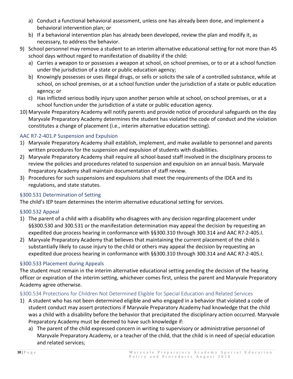- a) Conduct a functional behavioral assessment, unless one has already been done, and implement a behavioral intervention plan; or
- b) If a behavioral intervention plan has already been developed, review the plan and modify it, as necessary, to address the behavior.
- 9) School personnel may remove a student to an interim alternative educational setting for not more than 45 school days without regard to manifestation of disability if the child:
	- a) Carries a weapon to or possesses a weapon at school, on school premises, or to or at a school function under the jurisdiction of a state or public education agency;
	- b) Knowingly possesses or uses illegal drugs, or sells or solicits the sale of a controlled substance, while at school, on school premises, or at a school function under the jurisdiction of a state or public education agency; or
	- c) Has inflicted serious bodily injury upon another person while at school, on school premises, or at a school function under the jurisdiction of a state or public education agency.
- 10) Maryvale Preparatory Academy will notify parents and provide notice of procedural safeguards on the day Maryvale Preparatory Academy determines the student has violated the code of conduct and the violation constitutes a change of placement (i.e., interim alternative education setting).

# <span id="page-30-0"></span>AAC R7-2-401.P Suspension and Expulsion

- 1) Maryvale Preparatory Academy shall establish, implement, and make available to personnel and parents written procedures for the suspension and expulsion of students with disabilities.
- 2) Maryvale Preparatory Academy shall require all school-based staff involved in the disciplinary process to review the policies and procedures related to suspension and expulsion on an annual basis. Maryvale Preparatory Academy shall maintain documentation of staff review.
- 3) Procedures for such suspensions and expulsions shall meet the requirements of the IDEA and its regulations, and state statutes.

# <span id="page-30-1"></span>§300.531 Determination of Setting

The child's IEP team determines the interim alternative educational setting for services.

# <span id="page-30-2"></span>§300.532 Appeal

- 1) The parent of a child with a disability who disagrees with any decision regarding placement under §§300.530 and 300.531 or the manifestation determination may appeal the decision by requesting an expedited due process hearing in conformance with §§300.310 through 300.314 and AAC R7-2-405.I.
- 2) Maryvale Preparatory Academy that believes that maintaining the current placement of the child is substantially likely to cause injury to the child or others may appeal the decision by requesting an expedited due process hearing in conformance with §§300.310 through 300.314 and AAC R7-2-405.I.

# <span id="page-30-3"></span>§300.533 Placement during Appeals

The student must remain in the interim alternative educational setting pending the decision of the hearing officer or expiration of the interim setting, whichever comes first, unless the parent and Maryvale Preparatory Academy agree otherwise.

# <span id="page-30-4"></span>§300.534 Protections for Children Not Determined Eligible for Special Education and Related Services

- 1) A student who has not been determined eligible and who engaged in a behavior that violated a code of student conduct may assert protections if Maryvale Preparatory Academy had knowledge that the child was a child with a disability before the behavior that precipitated the disciplinary action occurred. Maryvale Preparatory Academy must be deemed to have such knowledge if:
	- a) The parent of the child expressed concern in writing to supervisory or administrative personnel of Maryvale Preparatory Academy, or a teacher of the child, that the child is in need of special education and related services;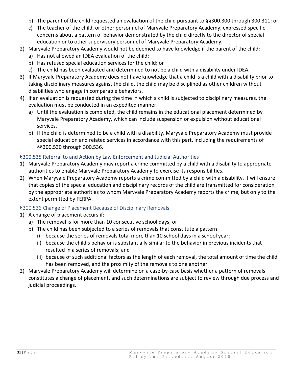- b) The parent of the child requested an evaluation of the child pursuant to §§300.300 through 300.311; or
- c) The teacher of the child, or other personnel of Maryvale Preparatory Academy, expressed specific concerns about a pattern of behavior demonstrated by the child directly to the director of special education or to other supervisory personnel of Maryvale Preparatory Academy.
- 2) Maryvale Preparatory Academy would not be deemed to have knowledge if the parent of the child:
	- a) Has not allowed an IDEA evaluation of the child;
	- b) Has refused special education services for the child; or
	- c) The child has been evaluated and determined to not be a child with a disability under IDEA.
- 3) If Maryvale Preparatory Academy does not have knowledge that a child is a child with a disability prior to taking disciplinary measures against the child, the child may be disciplined as other children without disabilities who engage in comparable behaviors.
- 4) If an evaluation is requested during the time in which a child is subjected to disciplinary measures, the evaluation must be conducted in an expedited manner.
	- a) Until the evaluation is completed, the child remains in the educational placement determined by Maryvale Preparatory Academy, which can include suspension or expulsion without educational services.
	- b) If the child is determined to be a child with a disability, Maryvale Preparatory Academy must provide special education and related services in accordance with this part, including the requirements of §§300.530 through 300.536.

### <span id="page-31-0"></span>§300.535 Referral to and Action by Law Enforcement and Judicial Authorities

- 1) Maryvale Preparatory Academy may report a crime committed by a child with a disability to appropriate authorities to enable Maryvale Preparatory Academy to exercise its responsibilities.
- 2) When Maryvale Preparatory Academy reports a crime committed by a child with a disability, it will ensure that copies of the special education and disciplinary records of the child are transmitted for consideration by the appropriate authorities to whom Maryvale Preparatory Academy reports the crime, but only to the extent permitted by FERPA.

### <span id="page-31-1"></span>§300.536 Change of Placement Because of Disciplinary Removals

- 1) A change of placement occurs if:
	- a) The removal is for more than 10 consecutive school days; or
	- b) The child has been subjected to a series of removals that constitute a pattern:
		- i) because the series of removals total more than 10 school days in a school year;
		- ii) because the child's behavior is substantially similar to the behavior in previous incidents that resulted in a series of removals; and
		- iii) because of such additional factors as the length of each removal, the total amount of time the child has been removed, and the proximity of the removals to one another.
- 2) Maryvale Preparatory Academy will determine on a case-by-case basis whether a pattern of removals constitutes a change of placement, and such determinations are subject to review through due process and judicial proceedings.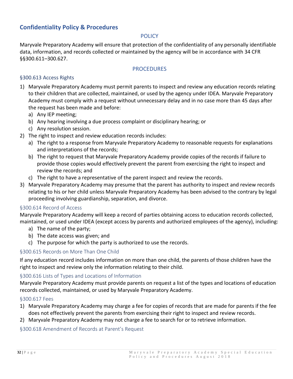# <span id="page-32-1"></span><span id="page-32-0"></span>**Confidentiality Policy & Procedures**

#### **POLICY**

Maryvale Preparatory Academy will ensure that protection of the confidentiality of any personally identifiable data, information, and records collected or maintained by the agency will be in accordance with 34 CFR §§300.611–300.627.

#### PROCEDURES

### <span id="page-32-3"></span><span id="page-32-2"></span>§300.613 Access Rights

- 1) Maryvale Preparatory Academy must permit parents to inspect and review any education records relating to their children that are collected, maintained, or used by the agency under IDEA. Maryvale Preparatory Academy must comply with a request without unnecessary delay and in no case more than 45 days after the request has been made and before:
	- a) Any IEP meeting;
	- b) Any hearing involving a due process complaint or disciplinary hearing; or
	- c) Any resolution session.
- 2) The right to inspect and review education records includes:
	- a) The right to a response from Maryvale Preparatory Academy to reasonable requests for explanations and interpretations of the records;
	- b) The right to request that Maryvale Preparatory Academy provide copies of the records if failure to provide those copies would effectively prevent the parent from exercising the right to inspect and review the records; and
	- c) The right to have a representative of the parent inspect and review the records.
- 3) Maryvale Preparatory Academy may presume that the parent has authority to inspect and review records relating to his or her child unless Maryvale Preparatory Academy has been advised to the contrary by legal proceeding involving guardianship, separation, and divorce.

#### <span id="page-32-4"></span>§300.614 Record of Access

Maryvale Preparatory Academy will keep a record of parties obtaining access to education records collected, maintained, or used under IDEA (except access by parents and authorized employees of the agency), including:

- a) The name of the party;
- b) The date access was given; and
- c) The purpose for which the party is authorized to use the records.

### <span id="page-32-5"></span>§300.615 Records on More Than One Child

If any education record includes information on more than one child, the parents of those children have the right to inspect and review only the information relating to their child.

#### <span id="page-32-6"></span>§300.616 Lists of Types and Locations of Information

Maryvale Preparatory Academy must provide parents on request a list of the types and locations of education records collected, maintained, or used by Maryvale Preparatory Academy.

#### <span id="page-32-7"></span>§300.617 Fees

- 1) Maryvale Preparatory Academy may charge a fee for copies of records that are made for parents if the fee does not effectively prevent the parents from exercising their right to inspect and review records.
- 2) Maryvale Preparatory Academy may not charge a fee to search for or to retrieve information.

### <span id="page-32-8"></span>§300.618 Amendment of Records at Parent's Request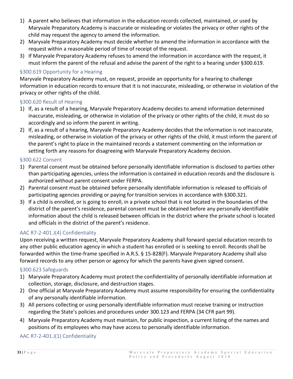- 1) A parent who believes that information in the education records collected, maintained, or used by Maryvale Preparatory Academy is inaccurate or misleading or violates the privacy or other rights of the child may request the agency to amend the information.
- 2) Maryvale Preparatory Academy must decide whether to amend the information in accordance with the request within a reasonable period of time of receipt of the request.
- 3) If Maryvale Preparatory Academy refuses to amend the information in accordance with the request, it must inform the parent of the refusal and advise the parent of the right to a hearing under §300.619.

### <span id="page-33-0"></span>§300.619 Opportunity for a Hearing

Maryvale Preparatory Academy must, on request, provide an opportunity for a hearing to challenge information in education records to ensure that it is not inaccurate, misleading, or otherwise in violation of the privacy or other rights of the child.

### <span id="page-33-1"></span>§300.620 Result of Hearing

- 1) If, as a result of a hearing, Maryvale Preparatory Academy decides to amend information determined inaccurate, misleading, or otherwise in violation of the privacy or other rights of the child, it must do so accordingly and so inform the parent in writing.
- 2) If, as a result of a hearing, Maryvale Preparatory Academy decides that the information is not inaccurate, misleading, or otherwise in violation of the privacy or other rights of the child, it must inform the parent of the parent's right to place in the maintained records a statement commenting on the information or setting forth any reasons for disagreeing with Maryvale Preparatory Academy decision.

### <span id="page-33-2"></span>§300.622 Consent

- 1) Parental consent must be obtained before personally identifiable information is disclosed to parties other than participating agencies, unless the information is contained in education records and the disclosure is authorized without parent consent under FERPA.
- 2) Parental consent must be obtained before personally identifiable information is released to officials of participating agencies providing or paying for transition services in accordance with §300.321.
- 3) If a child is enrolled, or is going to enroll, in a private school that is not located in the boundaries of the district of the parent's residence, parental consent must be obtained before any personally identifiable information about the child is released between officials in the district where the private school is located and officials in the district of the parent's residence.

# <span id="page-33-3"></span>AAC R7-2-401.J(4) Confidentiality

Upon receiving a written request, Maryvale Preparatory Academy shall forward special education records to any other public education agency in which a student has enrolled or is seeking to enroll. Records shall be forwarded within the time-frame specified in A.R.S. § 15-828(F). Maryvale Preparatory Academy shall also forward records to any other person or agency for which the parents have given signed consent.

### <span id="page-33-4"></span>§300.623 Safeguards

- 1) Maryvale Preparatory Academy must protect the confidentiality of personally identifiable information at collection, storage, disclosure, and destruction stages.
- 2) One official at Maryvale Preparatory Academy must assume responsibility for ensuring the confidentiality of any personally identifiable information.
- 3) All persons collecting or using personally identifiable information must receive training or instruction regarding the State's policies and procedures under 300.123 and FERPA (34 CFR part 99).
- 4) Maryvale Preparatory Academy must maintain, for public inspection, a current listing of the names and positions of its employees who may have access to personally identifiable information.

### <span id="page-33-5"></span>AAC R7-2-401.J(1) Confidentiality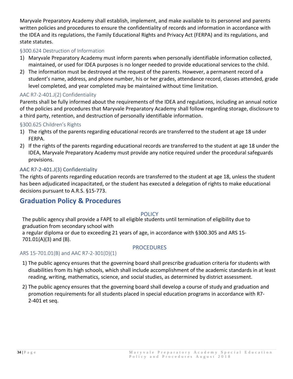Maryvale Preparatory Academy shall establish, implement, and make available to its personnel and parents written policies and procedures to ensure the confidentiality of records and information in accordance with the IDEA and its regulations, the Family Educational Rights and Privacy Act (FERPA) and its regulations, and state statutes.

### <span id="page-34-0"></span>§300.624 Destruction of Information

- 1) Maryvale Preparatory Academy must inform parents when personally identifiable information collected, maintained, or used for IDEA purposes is no longer needed to provide educational services to the child.
- 2) The information must be destroyed at the request of the parents. However, a permanent record of a student's name, address, and phone number, his or her grades, attendance record, classes attended, grade level completed, and year completed may be maintained without time limitation.

### <span id="page-34-1"></span>AAC R7-2-401.J(2) Confidentiality

Parents shall be fully informed about the requirements of the IDEA and regulations, including an annual notice of the policies and procedures that Maryvale Preparatory Academy shall follow regarding storage, disclosure to a third party, retention, and destruction of personally identifiable information.

### <span id="page-34-2"></span>§300.625 Children's Rights

- 1) The rights of the parents regarding educational records are transferred to the student at age 18 under FERPA.
- 2) If the rights of the parents regarding educational records are transferred to the student at age 18 under the IDEA, Maryvale Preparatory Academy must provide any notice required under the procedural safeguards provisions.

### <span id="page-34-3"></span>AAC R7-2-401.J(3) Confidentiality

The rights of parents regarding education records are transferred to the student at age 18, unless the student has been adjudicated incapacitated, or the student has executed a delegation of rights to make educational decisions pursuant to A.R.S. §15-773.

# <span id="page-34-4"></span>**Graduation Policy & Procedures**

#### **POLICY**

<span id="page-34-5"></span>The public agency shall provide a FAPE to all eligible students until termination of eligibility due to graduation from secondary school with

a regular diploma or due to exceeding 21 years of age, in accordance with §300.305 and ARS 15- 701.01(A)(3) and (B).

### PROCEDURES

### <span id="page-34-7"></span><span id="page-34-6"></span>ARS 15-701.01(B) and AAC R7-2-301(D)(1)

- 1) The public agency ensures that the governing board shall prescribe graduation criteria for students with disabilities from its high schools, which shall include accomplishment of the academic standards in at least reading, writing, mathematics, science, and social studies, as determined by district assessment.
- 2) The public agency ensures that the governing board shall develop a course of study and graduation and promotion requirements for all students placed in special education programs in accordance with R7- 2-401 et seq.